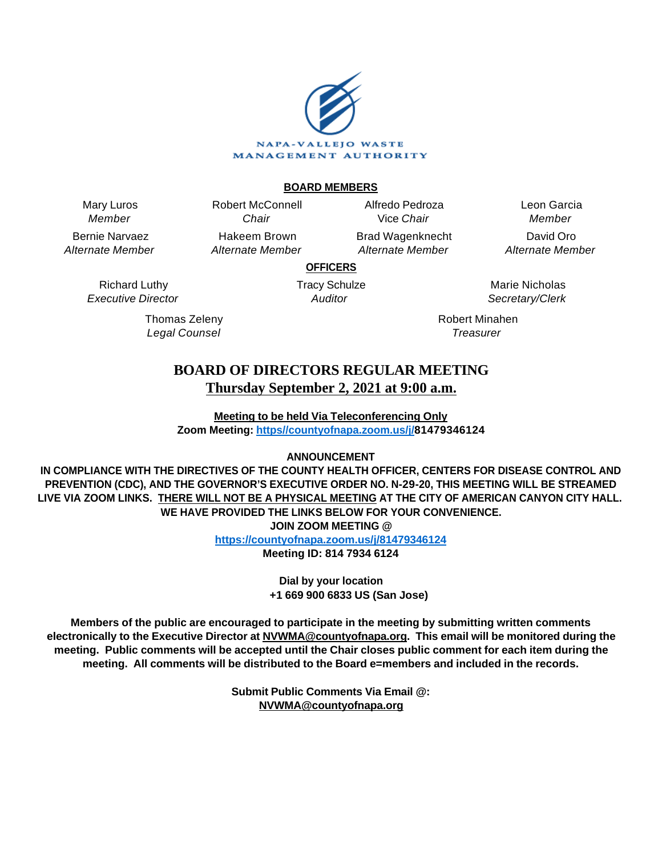

# **BOARD MEMBERS**

Mary Luros Member

Bernie Narvaez Alternate Member

Chair Hakeem Brown Alternate Member

Robert McConnell

Alfredo Pedroza Vice Chair Brad Wagenknecht

Alternate Member

Leon Garcia Member David Oro Alternate Member

**OFFICERS**

Tracy Schulze Auditor

Marie Nicholas Secretary/Clerk

Robert Minahen **Treasurer** 

# **BOARD OF DIRECTORS REGULAR MEETING Thursday September 2, 2021 at 9:00 a.m.**

**Meeting to be held Via Teleconferencing Only Zoom Meeting: [https//countyofnapa.zoom.us/j/](http://intranetprod01/AgendaNet/Reports/https//countyofnapa.zoom.us/j/99111938225)81479346124**

# **ANNOUNCEMENT**

**IN COMPLIANCE WITH THE DIRECTIVES OF THE COUNTY HEALTH OFFICER, CENTERS FOR DISEASE CONTROL AND PREVENTION (CDC), AND THE GOVERNOR'S EXECUTIVE ORDER NO. N-29-20, THIS MEETING WILL BE STREAMED LIVE VIA ZOOM LINKS. THERE WILL NOT BE A PHYSICAL MEETING AT THE CITY OF AMERICAN CANYON CITY HALL. WE HAVE PROVIDED THE LINKS BELOW FOR YOUR CONVENIENCE. JOIN ZOOM MEETING @**

**<https://countyofnapa.zoom.us/j/81479346124>**

**Meeting ID: 814 7934 6124**

**Dial by your location +1 669 900 6833 US (San Jose)**

**Members of the public are encouraged to participate in the meeting by submitting written comments electronically to the Executive Director at NVWMA@countyofnapa.org. This email will be monitored during the meeting. Public comments will be accepted until the Chair closes public comment for each item during the meeting. All comments will be distributed to the Board e=members and included in the records.**

> **Submit Public Comments Via Email @: NVWMA@countyofnapa.org**

Richard Luthy Executive Director

> Thomas Zeleny Legal Counsel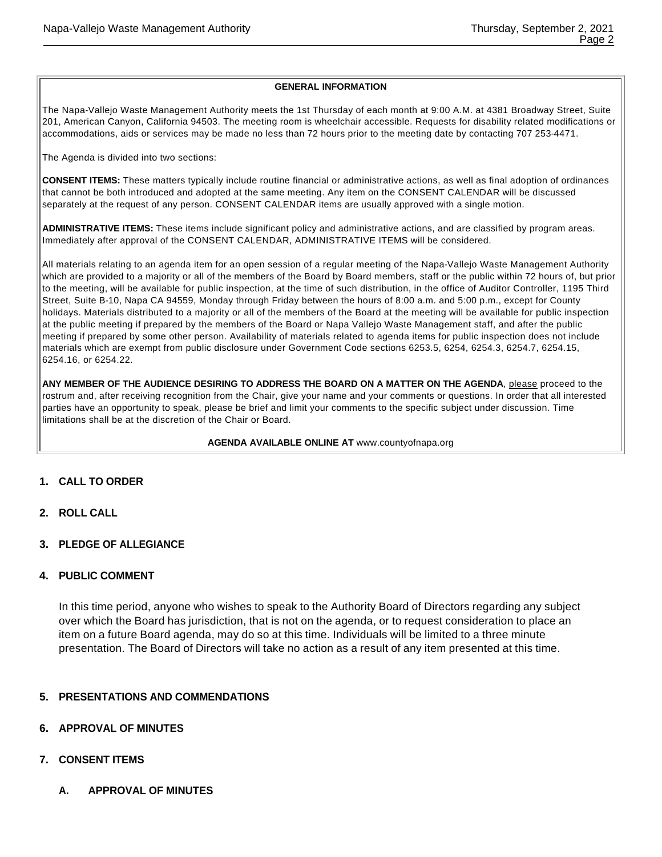#### **GENERAL INFORMATION**

The Napa-Vallejo Waste Management Authority meets the 1st Thursday of each month at 9:00 A.M. at 4381 Broadway Street, Suite 201, American Canyon, California 94503. The meeting room is wheelchair accessible. Requests for disability related modifications or accommodations, aids or services may be made no less than 72 hours prior to the meeting date by contacting 707 253-4471.

The Agenda is divided into two sections:

**CONSENT ITEMS:** These matters typically include routine financial or administrative actions, as well as final adoption of ordinances that cannot be both introduced and adopted at the same meeting. Any item on the CONSENT CALENDAR will be discussed separately at the request of any person. CONSENT CALENDAR items are usually approved with a single motion.

**ADMINISTRATIVE ITEMS:** These items include significant policy and administrative actions, and are classified by program areas. Immediately after approval of the CONSENT CALENDAR, ADMINISTRATIVE ITEMS will be considered.

All materials relating to an agenda item for an open session of a regular meeting of the Napa-Vallejo Waste Management Authority which are provided to a majority or all of the members of the Board by Board members, staff or the public within 72 hours of, but prior to the meeting, will be available for public inspection, at the time of such distribution, in the office of Auditor Controller, 1195 Third Street, Suite B-10, Napa CA 94559, Monday through Friday between the hours of 8:00 a.m. and 5:00 p.m., except for County holidays. Materials distributed to a majority or all of the members of the Board at the meeting will be available for public inspection at the public meeting if prepared by the members of the Board or Napa Vallejo Waste Management staff, and after the public meeting if prepared by some other person. Availability of materials related to agenda items for public inspection does not include materials which are exempt from public disclosure under Government Code sections 6253.5, 6254, 6254.3, 6254.7, 6254.15, 6254.16, or 6254.22.

ANY MEMBER OF THE AUDIENCE DESIRING TO ADDRESS THE BOARD ON A MATTER ON THE AGENDA, please proceed to the rostrum and, after receiving recognition from the Chair, give your name and your comments or questions. In order that all interested parties have an opportunity to speak, please be brief and limit your comments to the specific subject under discussion. Time limitations shall be at the discretion of the Chair or Board.

**AGENDA AVAILABLE ONLINE AT** www.countyofnapa.org

- **1. CALL TO ORDER**
- **2. ROLL CALL**
- **3. PLEDGE OF ALLEGIANCE**

#### **4. PUBLIC COMMENT**

In this time period, anyone who wishes to speak to the Authority Board of Directors regarding any subject over which the Board has jurisdiction, that is not on the agenda, or to request consideration to place an item on a future Board agenda, may do so at this time. Individuals will be limited to a three minute presentation. The Board of Directors will take no action as a result of any item presented at this time.

# **5. PRESENTATIONS AND COMMENDATIONS**

#### **6. APPROVAL OF MINUTES**

- **7. CONSENT ITEMS**
	- **A. APPROVAL OF MINUTES**